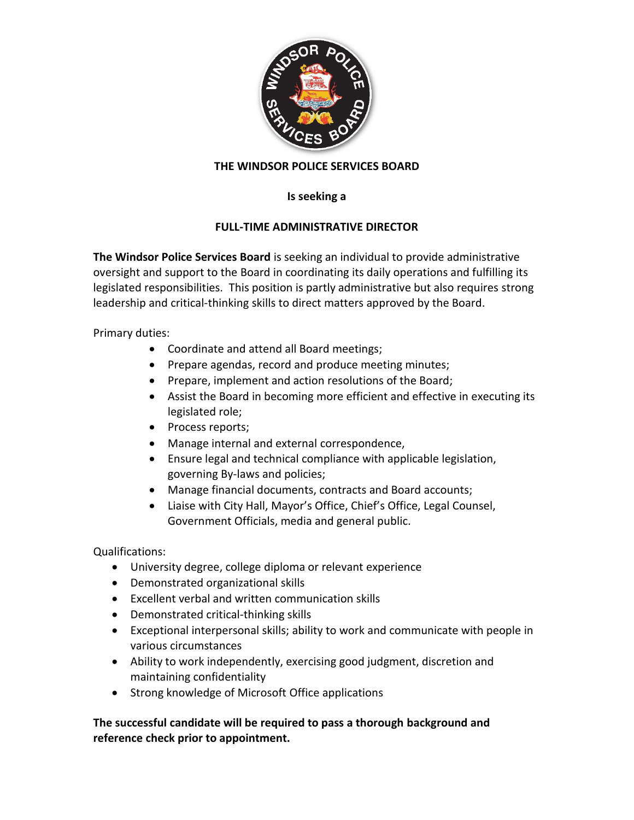

## **THE WINDSOR POLICE SERVICES BOARD**

## **Is seeking a**

## **FULL-TIME ADMINISTRATIVE DIRECTOR**

**The Windsor Police Services Board** is seeking an individual to provide administrative oversight and support to the Board in coordinating its daily operations and fulfilling its legislated responsibilities. This position is partly administrative but also requires strong leadership and critical-thinking skills to direct matters approved by the Board.

Primary duties:

- Coordinate and attend all Board meetings;
- Prepare agendas, record and produce meeting minutes;
- Prepare, implement and action resolutions of the Board;
- Assist the Board in becoming more efficient and effective in executing its legislated role;
- Process reports;
- Manage internal and external correspondence,
- Ensure legal and technical compliance with applicable legislation, governing By-laws and policies;
- Manage financial documents, contracts and Board accounts;
- Liaise with City Hall, Mayor's Office, Chief's Office, Legal Counsel, Government Officials, media and general public.

Qualifications:

- University degree, college diploma or relevant experience
- Demonstrated organizational skills
- Excellent verbal and written communication skills
- Demonstrated critical-thinking skills
- Exceptional interpersonal skills; ability to work and communicate with people in various circumstances
- Ability to work independently, exercising good judgment, discretion and maintaining confidentiality
- Strong knowledge of Microsoft Office applications

**The successful candidate will be required to pass a thorough background and reference check prior to appointment.**